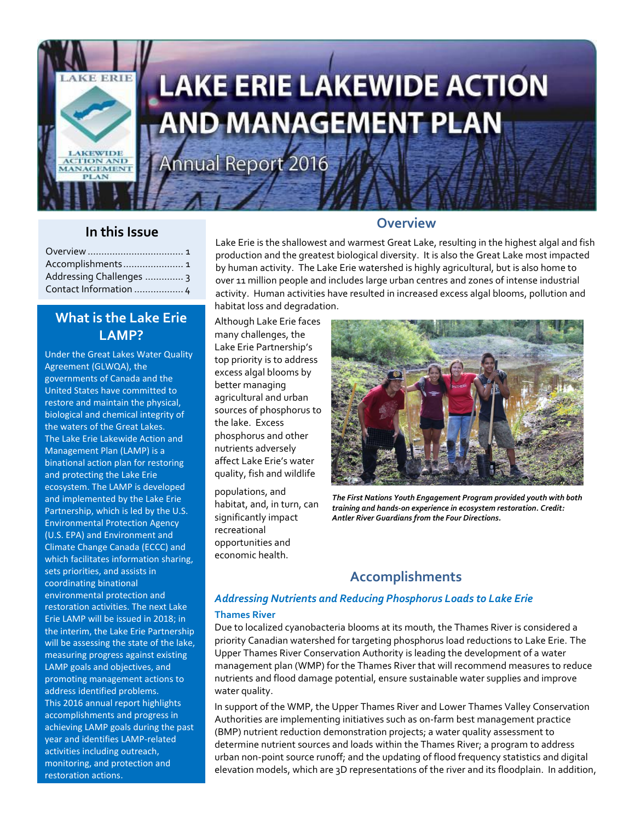

# **LAKE ERIE LAKEWIDE ACTION AND MANAGEMENT PLAN**

Annual Report 2016

### **In this Issue**

| Accomplishments 1        |  |
|--------------------------|--|
| Addressing Challenges  3 |  |
| Contact Information  4   |  |

## **What is the Lake Erie LAMP?**

Under the Great Lakes Water Quality Agreement (GLWQA), the governments of Canada and the United States have committed to restore and maintain the physical, biological and chemical integrity of the waters of the Great Lakes. The Lake Erie Lakewide Action and Management Plan (LAMP) is a binational action plan for restoring and protecting the Lake Erie ecosystem. The LAMP is developed and implemented by the Lake Erie Partnership, which is led by the U.S. Environmental Protection Agency (U.S. EPA) and Environment and Climate Change Canada (ECCC) and which facilitates information sharing, sets priorities, and assists in coordinating binational environmental protection and restoration activities. The next Lake Erie LAMP will be issued in 2018; in the interim, the Lake Erie Partnership will be assessing the state of the lake, measuring progress against existing LAMP goals and objectives, and promoting management actions to address identified problems. This 2016 annual report highlights accomplishments and progress in achieving LAMP goals during the past year and identifies LAMP-related activities including outreach, monitoring, and protection and restoration actions.

#### **Overview**

Lake Erie is the shallowest and warmest Great Lake, resulting in the highest algal and fish production and the greatest biological diversity. It is also the Great Lake most impacted by human activity. The Lake Erie watershed is highly agricultural, but is also home to over 11 million people and includes large urban centres and zones of intense industrial activity. Human activities have resulted in increased excess algal blooms, pollution and habitat loss and degradation.

Although Lake Erie faces many challenges, the Lake Erie Partnership's top priority is to address excess algal blooms by better managing agricultural and urban sources of phosphorus to the lake. Excess phosphorus and other nutrients adversely affect Lake Erie's water quality, fish and wildlife

populations, and habitat, and, in turn, can significantly impact recreational opportunities and economic health.



*The First Nations Youth Engagement Program provided youth with both training and hands-on experience in ecosystem restoration. Credit: Antler River Guardians from the Four Directions.*

## **Accomplishments**

#### *Addressing Nutrients and Reducing Phosphorus Loads to Lake Erie* **Thames River**

Due to localized cyanobacteria blooms at its mouth, the Thames River is considered a priority Canadian watershed for targeting phosphorus load reductions to Lake Erie. The Upper Thames River Conservation Authority is leading the development of a water management plan (WMP) for the Thames River that will recommend measures to reduce nutrients and flood damage potential, ensure sustainable water supplies and improve water quality.

In support of the WMP, the Upper Thames River and Lower Thames Valley Conservation Authorities are implementing initiatives such as on-farm best management practice (BMP) nutrient reduction demonstration projects; a water quality assessment to determine nutrient sources and loads within the Thames River; a program to address urban non-point source runoff; and the updating of flood frequency statistics and digital elevation models, which are 3D representations of the river and its floodplain. In addition,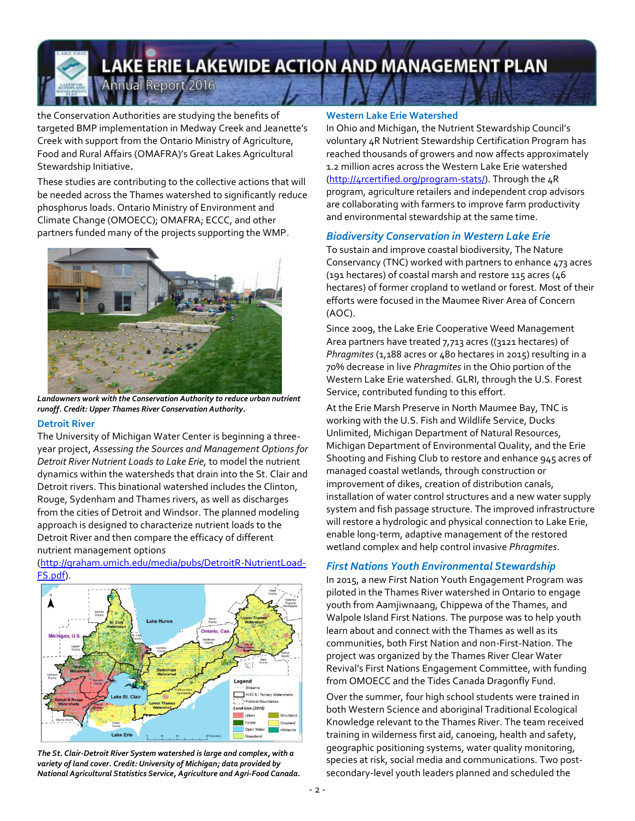# **LAKE ERIE LAKEWIDE ACTION AND MANAGEMENT PLAN** Annual Report 2016

the Conservation Authorities are studying the benefits of targeted BMP implementation in Medway Creek and Jeanette's Creek with support from the Ontario Ministry of Agriculture, Food and Rural Affairs (OMAFRA)'s Great Lakes Agricultural Stewardship Initiative**.**

These studies are contributing to the collective actions that will be needed across the Thames watershed to significantly reduce phosphorus loads. Ontario Ministry of Environment and Climate Change (OMOECC); OMAFRA; ECCC, and other partners funded many of the projects supporting the WMP.



*Landowners work with the Conservation Authority to reduce urban nutrient runoff. Credit: Upper Thames River Conservation Authority.*

#### **Detroit River**

The University of Michigan Water Center is beginning a threeyear project, *Assessing the Sources and Management Options for Detroit River Nutrient Loads to Lake Erie,* to model the nutrient dynamics within the watersheds that drain into the St. Clair and Detroit rivers. This binational watershed includes the Clinton, Rouge, Sydenham and Thames rivers, as well as discharges from the cities of Detroit and Windsor. The planned modeling approach is designed to characterize nutrient loads to the Detroit River and then compare the efficacy of different nutrient management options



[\(http://graham.umich.edu/media/pubs/DetroitR-NutrientLoad-](http://graham.umich.edu/media/pubs/DetroitR-NutrientLoad-FS.pdf)[FS.pdf\)](http://graham.umich.edu/media/pubs/DetroitR-NutrientLoad-FS.pdf).

#### *The St. Clair-Detroit River System watershed is large and complex, with a variety of land cover. Credit: University of Michigan; data provided by National Agricultural Statistics Service, Agriculture and Agri-Food Canada.*

#### **Western Lake Erie Watershed**

In Ohio and Michigan, the Nutrient Stewardship Council's voluntary 4R Nutrient Stewardship Certification Program has reached thousands of growers and now affects approximately 1.2 million acres across the Western Lake Erie watershed [\(http://4rcertified.org/program-stats/\)](http://4rcertified.org/program-stats/). Through the 4R program, agriculture retailers and independent crop advisors are collaborating with farmers to improve farm productivity and environmental stewardship at the same time.

#### *Biodiversity Conservation in Western Lake Erie*

To sustain and improve coastal biodiversity, The Nature Conservancy (TNC) worked with partners to enhance 473 acres (191 hectares) of coastal marsh and restore 115 acres (46 hectares) of former cropland to wetland or forest. Most of their efforts were focused in the Maumee River Area of Concern (AOC).

Since 2009, the Lake Erie Cooperative Weed Management Area partners have treated 7,713 acres ((3121 hectares) of Phragmites (1,188 acres or 480 hectares in 2015) resulting in a 70% decrease in live *Phragmites* in the Ohio portion of the Western Lake Erie watershed. GLRI, through the U.S. Forest Service, contributed funding to this effort.

At the Erie Marsh Preserve in North Maumee Bay, TNC is working with the U.S. Fish and Wildlife Service, Ducks Unlimited, Michigan Department of Natural Resources, Michigan Department of Environmental Quality, and the Erie Shooting and Fishing Club to restore and enhance 945 acres of managed coastal wetlands, through construction or improvement of dikes, creation of distribution canals, installation of water control structures and a new water supply system and fish passage structure. The improved infrastructure will restore a hydrologic and physical connection to Lake Erie, enable long-term, adaptive management of the restored wetland complex and help control invasive *Phragmites*.

#### *First Nations Youth Environmental Stewardship*

In 2015, a new First Nation Youth Engagement Program was piloted in the Thames River watershed in Ontario to engage youth from Aamjiwnaang, Chippewa of the Thames, and Walpole Island First Nations. The purpose was to help youth learn about and connect with the Thames as well as its communities, both First Nation and non-First-Nation. The project was organized by the Thames River Clear Water Revival's First Nations Engagement Committee, with funding from OMOECC and the Tides Canada Dragonfly Fund.

Over the summer, four high school students were trained in both Western Science and aboriginal Traditional Ecological Knowledge relevant to the Thames River. The team received training in wilderness first aid, canoeing, health and safety, geographic positioning systems, water quality monitoring, species at risk, social media and communications. Two postsecondary-level youth leaders planned and scheduled the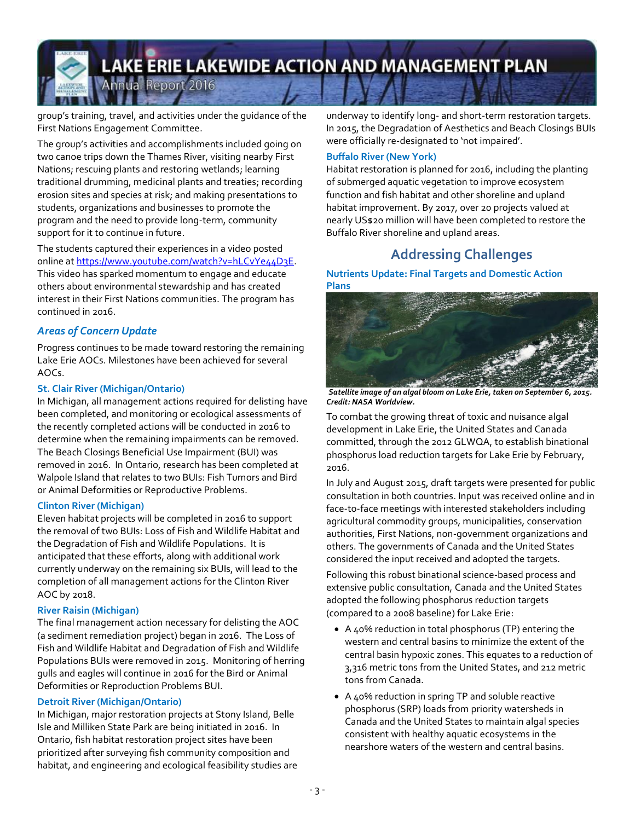## **LAKE ERIE LAKEWIDE ACTION AND MANAGEMENT PLAN** Annual Report 2016

group's training, travel, and activities under the guidance of the First Nations Engagement Committee.

The group's activities and accomplishments included going on two canoe trips down the Thames River, visiting nearby First Nations; rescuing plants and restoring wetlands; learning traditional drumming, medicinal plants and treaties; recording erosion sites and species at risk; and making presentations to students, organizations and businesses to promote the program and the need to provide long-term, community support for it to continue in future.

The students captured their experiences in a video posted online at [https://www.youtube.com/watch?v=hLCvYe44D3E.](https://www.youtube.com/watch?v=hLCvYe44D3E) This video has sparked momentum to engage and educate others about environmental stewardship and has created interest in their First Nations communities. The program has continued in 2016.

#### *Areas of Concern Update*

Progress continues to be made toward restoring the remaining Lake Erie AOCs. Milestones have been achieved for several AOCs.

#### **St. Clair River (Michigan/Ontario)**

In Michigan, all management actions required for delisting have been completed, and monitoring or ecological assessments of the recently completed actions will be conducted in 2016 to determine when the remaining impairments can be removed. The Beach Closings Beneficial Use Impairment (BUI) was removed in 2016. In Ontario, research has been completed at Walpole Island that relates to two BUIs: Fish Tumors and Bird or Animal Deformities or Reproductive Problems.

#### **Clinton River (Michigan)**

Eleven habitat projects will be completed in 2016 to support the removal of two BUIs: Loss of Fish and Wildlife Habitat and the Degradation of Fish and Wildlife Populations. It is anticipated that these efforts, along with additional work currently underway on the remaining six BUIs, will lead to the completion of all management actions for the Clinton River AOC by 2018.

#### **River Raisin (Michigan)**

The final management action necessary for delisting the AOC (a sediment remediation project) began in 2016. The Loss of Fish and Wildlife Habitat and Degradation of Fish and Wildlife Populations BUIs were removed in 2015. Monitoring of herring gulls and eagles will continue in 2016 for the Bird or Animal Deformities or Reproduction Problems BUI.

#### **Detroit River (Michigan/Ontario)**

In Michigan, major restoration projects at Stony Island, Belle Isle and Milliken State Park are being initiated in 2016. In Ontario, fish habitat restoration project sites have been prioritized after surveying fish community composition and habitat, and engineering and ecological feasibility studies are underway to identify long- and short-term restoration targets. In 2015, the Degradation of Aesthetics and Beach Closings BUIs were officially re-designated to 'not impaired'.

#### **Buffalo River (New York)**

Habitat restoration is planned for 2016, including the planting of submerged aquatic vegetation to improve ecosystem function and fish habitat and other shoreline and upland habitat improvement. By 2017, over 20 projects valued at nearly US\$20 million will have been completed to restore the Buffalo River shoreline and upland areas.

## **Addressing Challenges**

#### **Nutrients Update: Final Targets and Domestic Action Plans**



*Satellite image of an algal bloom on Lake Erie, taken on September 6, 2015. Credit: NASA Worldview.*

To combat the growing threat of toxic and nuisance algal development in Lake Erie, the United States and Canada committed, through the 2012 GLWQA, to establish binational phosphorus load reduction targets for Lake Erie by February, 2016.

In July and August 2015, draft targets were presented for public consultation in both countries. Input was received online and in face-to-face meetings with interested stakeholders including agricultural commodity groups, municipalities, conservation authorities, First Nations, non-government organizations and others. The governments of Canada and the United States considered the input received and adopted the targets.

Following this robust binational science-based process and extensive public consultation, Canada and the United States adopted the following phosphorus reduction targets (compared to a 2008 baseline) for Lake Erie:

- A 40% reduction in total phosphorus (TP) entering the western and central basins to minimize the extent of the central basin hypoxic zones. This equates to a reduction of 3,316 metric tons from the United States, and 212 metric tons from Canada.
- A 40% reduction in spring TP and soluble reactive phosphorus (SRP) loads from priority watersheds in Canada and the United States to maintain algal species consistent with healthy aquatic ecosystems in the nearshore waters of the western and central basins.